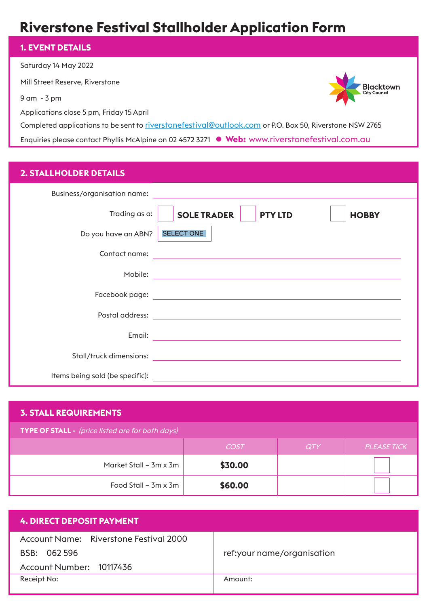# **Riverstone Festival Stallholder Application Form**

# **1. EVENT DETAILS**

Saturday 14 May 2022

Mill Street Reserve, Riverstone

9 am - 3 pm

Applications close 5 pm, Friday 15 April

Completed applications to be sent to riverstonefestival@outlook.com or P.O. Box 50, Riverstone NSW 2765

**Blacktown**<br>City Council

Enquiries please contact Phyllis McAlpine on 02 4572 3271 **· Web:** www.riverstonefestival.com.au

# **2. STALLHOLDER DETAILS**

| Business/organisation name:     |                                                                                                                                                                                                                               |
|---------------------------------|-------------------------------------------------------------------------------------------------------------------------------------------------------------------------------------------------------------------------------|
| Trading as a:                   | <b>SOLE TRADER</b><br><b>PTY LTD</b><br><b>HOBBY</b>                                                                                                                                                                          |
| Do you have an ABN?             | SELECT ONE                                                                                                                                                                                                                    |
| Contact name:                   | the control of the control of the control of the control of the control of the control of the control of the control of the control of the control of the control of the control of the control of the control of the control |
| Mobile:                         | <u> 1989 - Johann Barbara, martxa eta idazlea (h. 1989).</u>                                                                                                                                                                  |
| Facebook page:                  | <u> 1980 - Johann Barn, mars and de film and de film and de film and de film and de film and de film and de film</u>                                                                                                          |
| Postal address:                 | <u> 1980 - John Stein, mars and der Stein Stein Stein Stein Stein Stein Stein Stein Stein Stein Stein Stein Stein</u>                                                                                                         |
| Email:                          |                                                                                                                                                                                                                               |
| Stall/truck dimensions:         |                                                                                                                                                                                                                               |
| Items being sold (be specific): |                                                                                                                                                                                                                               |

| <b>3. STALL REQUIREMENTS</b>                     |             |     |                    |  |  |
|--------------------------------------------------|-------------|-----|--------------------|--|--|
| TYPE OF STALL - (price listed are for both days) |             |     |                    |  |  |
|                                                  | <b>COST</b> | QTY | <b>PLEASE TICK</b> |  |  |
| Market Stall – 3m x 3m                           | \$30.00     |     |                    |  |  |
| Food Stall $-$ 3m $\times$ 3m                    | \$60.00     |     |                    |  |  |

| ref:your name/organisation |
|----------------------------|
|                            |
|                            |
|                            |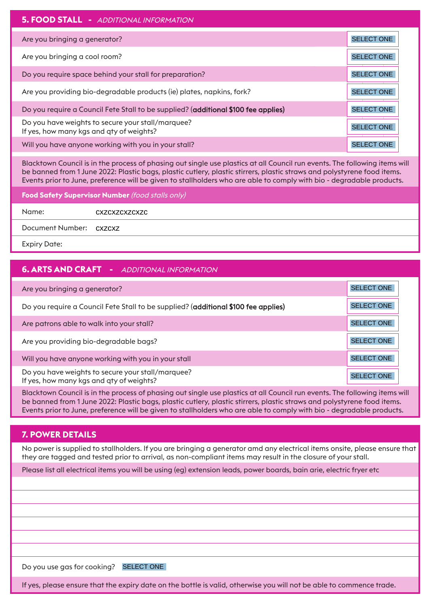| <b>5. FOOD STALL - ADDITIONAL INFORMATION</b>                                                 |                   |
|-----------------------------------------------------------------------------------------------|-------------------|
| Are you bringing a generator?                                                                 | <b>SELECT ONE</b> |
| Are you bringing a cool room?                                                                 | SELECT ONE        |
| Do you require space behind your stall for preparation?                                       | <b>SELECT ONE</b> |
| Are you providing bio-degradable products (ie) plates, napkins, fork?                         | <b>SELECT ONE</b> |
| Do you require a Council Fete Stall to be supplied? (additional \$100 fee applies)            | <b>SELECT ONE</b> |
| Do you have weights to secure your stall/marquee?<br>If yes, how many kgs and qty of weights? | <b>SELECT ONE</b> |
| Will you have anyone working with you in your stall?                                          | <b>SELECT ONE</b> |

Blacktown Council is in the process of phasing out single use plastics at all Council run events. The following items will be banned from 1 June 2022: Plastic bags, plastic cutlery, plastic stirrers, plastic straws and polystyrene food items. Events prior to June, preference will be given to stallholders who are able to comply with bio - degradable products.

**Food Safety Supervisor Number** (food stalls only)

Name: cxzcxzcxzcxzc

Document Number: cxzcxz

Expiry Date:

# **6. ARTS AND CRAFT -** ADDITIONAL INFORMATION

| Are you bringing a generator?                                                                 | <b>SELECT ONE</b> |
|-----------------------------------------------------------------------------------------------|-------------------|
| Do you require a Council Fete Stall to be supplied? (additional \$100 fee applies)            | <b>SELECT ONE</b> |
| Are patrons able to walk into your stall?                                                     | <b>SELECT ONE</b> |
| Are you providing bio-degradable bags?                                                        | <b>SELECT ONE</b> |
| Will you have anyone working with you in your stall                                           | <b>SELECT ONE</b> |
| Do you have weights to secure your stall/marquee?<br>If yes, how many kgs and qty of weights? | <b>SELECT ONE</b> |

Blacktown Council is in the process of phasing out single use plastics at all Council run events. The following items will be banned from 1 June 2022: Plastic bags, plastic cutlery, plastic stirrers, plastic straws and polystyrene food items. Events prior to June, preference will be given to stallholders who are able to comply with bio - degradable products.

# **7. POWER DETAILS**

No power is supplied to stallholders. If you are bringing a generator amd any electrical items onsite, please ensure that they are tagged and tested prior to arrival, as non-compliant items may result in the closure of your stall.

Please list all electrical items you will be using (eg) extension leads, power boards, bain arie, electric fryer etc

Do you use gas for cooking? SELECT ONE

If yes, please ensure that the expiry date on the bottle is valid, otherwise you will not be able to commence trade.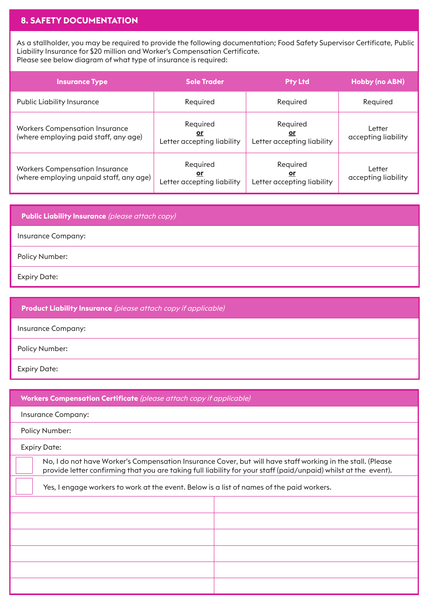# **8. SAFETY DOCUMENTATION**

As a stallholder, you may be required to provide the following documentation; Food Safety Supervisor Certificate, Public Liability Insurance for \$20 million and Worker's Compensation Certificate. Please see below diagram of what type of insurance is required:

| <b>Insurance Type</b>                                                            | <b>Sole Trader</b>                                  | <b>Pty Ltd</b>                                      | <b>Hobby (no ABN)</b>         |
|----------------------------------------------------------------------------------|-----------------------------------------------------|-----------------------------------------------------|-------------------------------|
| <b>Public Liability Insurance</b>                                                | Required                                            | Required                                            | Required                      |
| <b>Workers Compensation Insurance</b><br>(where employing paid staff, any age)   | Required<br><u>or</u><br>Letter accepting liability | Required<br><u>or</u><br>Letter accepting liability | Letter<br>accepting liability |
| <b>Workers Compensation Insurance</b><br>(where employing unpaid staff, any age) | Required<br><u>or</u><br>Letter accepting liability | Required<br><u>or</u><br>Letter accepting liability | Letter<br>accepting liability |

**Public Liability Insurance** (please attach copy) Insurance Company: Policy Number: Expiry Date:

**Product Liability Insurance** (please attach copy if applicable) Insurance Company: Policy Number: Expiry Date:

**Workers Compensation Certificate** (please attach copy if applicable) Insurance Company: Policy Number: Expiry Date: No, I do not have Worker's Compensation Insurance Cover, but will have staff working in the stall. (Please provide letter confirming that you are taking full liability for your staff (paid/unpaid) whilst at the event). Yes, I engage workers to work at the event. Below is a list of names of the paid workers.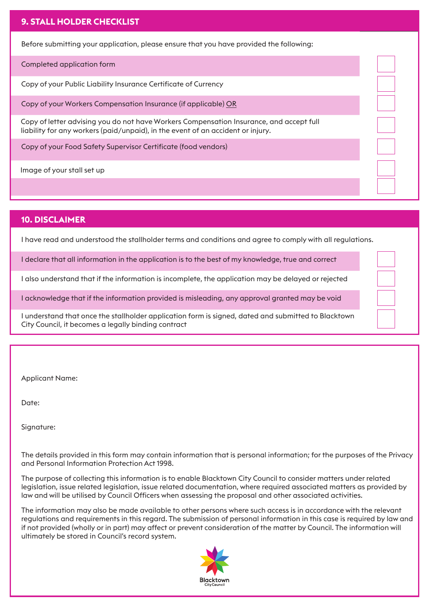# **9. STALL HOLDER CHECKLIST**

Before submitting your application, please ensure that you have provided the following:

Completed application form

Copy of your Public Liability Insurance Certificate of Currency

Copy of your Workers Compensation Insurance (if applicable) OR

Copy of letter advising you do not have Workers Compensation Insurance, and accept full liability for any workers (paid/unpaid), in the event of an accident or injury.

Copy of your Food Safety Supervisor Certificate (food vendors)

Image of your stall set up

#### **10. DISCLAIMER**

I have read and understood the stallholder terms and conditions and agree to comply with all regulations.

I declare that all information in the application is to the best of my knowledge, true and correct

I also understand that if the information is incomplete, the application may be delayed or rejected

I acknowledge that if the information provided is misleading, any approval granted may be void

I understand that once the stallholder application form is signed, dated and submitted to Blacktown City Council, it becomes a legally binding contract

Applicant Name:

Date:

Signature:

The details provided in this form may contain information that is personal information; for the purposes of the Privacy and Personal Information Protection Act 1998.

The purpose of collecting this information is to enable Blacktown City Council to consider matters under related legislation, issue related legislation, issue related documentation, where required associated matters as provided by law and will be utilised by Council Officers when assessing the proposal and other associated activities.

The information may also be made available to other persons where such access is in accordance with the relevant regulations and requirements in this regard. The submission of personal information in this case is required by law and if not provided (wholly or in part) may affect or prevent consideration of the matter by Council. The information will ultimately be stored in Council's record system.

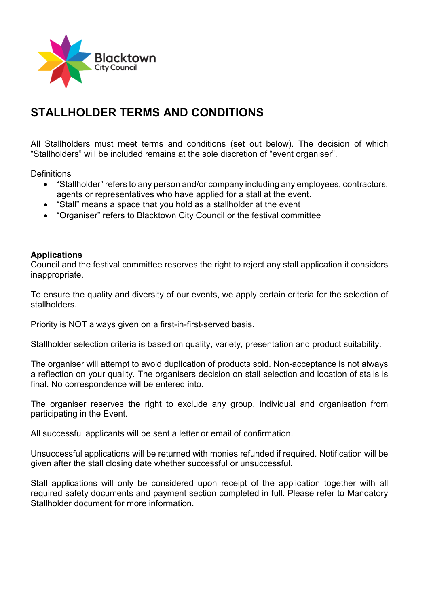

# **STALLHOLDER TERMS AND CONDITIONS**

All Stallholders must meet terms and conditions (set out below). The decision of which "Stallholders" will be included remains at the sole discretion of "event organiser".

**Definitions** 

- "Stallholder" refers to any person and/or company including any employees, contractors, agents or representatives who have applied for a stall at the event.
- "Stall" means a space that you hold as a stallholder at the event
- "Organiser" refers to Blacktown City Council or the festival committee

# **Applications**

Council and the festival committee reserves the right to reject any stall application it considers inappropriate.

To ensure the quality and diversity of our events, we apply certain criteria for the selection of stallholders.

Priority is NOT always given on a first-in-first-served basis.

Stallholder selection criteria is based on quality, variety, presentation and product suitability.

The organiser will attempt to avoid duplication of products sold. Non-acceptance is not always a reflection on your quality. The organisers decision on stall selection and location of stalls is final. No correspondence will be entered into.

The organiser reserves the right to exclude any group, individual and organisation from participating in the Event.

All successful applicants will be sent a letter or email of confirmation.

Unsuccessful applications will be returned with monies refunded if required. Notification will be given after the stall closing date whether successful or unsuccessful.

Stall applications will only be considered upon receipt of the application together with all required safety documents and payment section completed in full. Please refer to Mandatory Stallholder document for more information.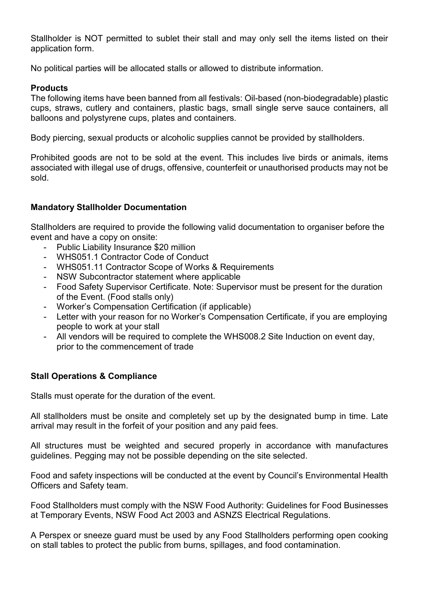Stallholder is NOT permitted to sublet their stall and may only sell the items listed on their application form.

No political parties will be allocated stalls or allowed to distribute information.

# **Products**

The following items have been banned from all festivals: Oil-based (non-biodegradable) plastic cups, straws, cutlery and containers, plastic bags, small single serve sauce containers, all balloons and polystyrene cups, plates and containers.

Body piercing, sexual products or alcoholic supplies cannot be provided by stallholders.

Prohibited goods are not to be sold at the event. This includes live birds or animals, items associated with illegal use of drugs, offensive, counterfeit or unauthorised products may not be sold.

# **Mandatory Stallholder Documentation**

Stallholders are required to provide the following valid documentation to organiser before the event and have a copy on onsite:

- Public Liability Insurance \$20 million
- WHS051.1 Contractor Code of Conduct
- WHS051.11 Contractor Scope of Works & Requirements
- NSW Subcontractor statement where applicable
- Food Safety Supervisor Certificate. Note: Supervisor must be present for the duration of the Event. (Food stalls only)
- Worker's Compensation Certification (if applicable)
- Letter with your reason for no Worker's Compensation Certificate, if you are employing people to work at your stall
- All vendors will be required to complete the WHS008.2 Site Induction on event day, prior to the commencement of trade

# **Stall Operations & Compliance**

Stalls must operate for the duration of the event.

All stallholders must be onsite and completely set up by the designated bump in time. Late arrival may result in the forfeit of your position and any paid fees.

All structures must be weighted and secured properly in accordance with manufactures guidelines. Pegging may not be possible depending on the site selected.

Food and safety inspections will be conducted at the event by Council's Environmental Health Officers and Safety team.

Food Stallholders must comply with the NSW Food Authority: Guidelines for Food Businesses at Temporary Events, NSW Food Act 2003 and ASNZS Electrical Regulations.

A Perspex or sneeze guard must be used by any Food Stallholders performing open cooking on stall tables to protect the public from burns, spillages, and food contamination.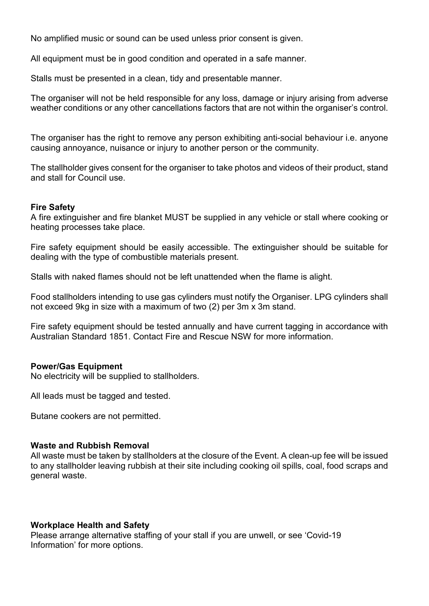No amplified music or sound can be used unless prior consent is given.

All equipment must be in good condition and operated in a safe manner.

Stalls must be presented in a clean, tidy and presentable manner.

The organiser will not be held responsible for any loss, damage or injury arising from adverse weather conditions or any other cancellations factors that are not within the organiser's control.

The organiser has the right to remove any person exhibiting anti-social behaviour i.e. anyone causing annoyance, nuisance or injury to another person or the community.

The stallholder gives consent for the organiser to take photos and videos of their product, stand and stall for Council use.

# **Fire Safety**

A fire extinguisher and fire blanket MUST be supplied in any vehicle or stall where cooking or heating processes take place.

Fire safety equipment should be easily accessible. The extinguisher should be suitable for dealing with the type of combustible materials present.

Stalls with naked flames should not be left unattended when the flame is alight.

Food stallholders intending to use gas cylinders must notify the Organiser. LPG cylinders shall not exceed 9kg in size with a maximum of two (2) per 3m x 3m stand.

Fire safety equipment should be tested annually and have current tagging in accordance with Australian Standard 1851. Contact Fire and Rescue NSW for more information.

# **Power/Gas Equipment**

No electricity will be supplied to stallholders.

All leads must be tagged and tested.

Butane cookers are not permitted.

#### **Waste and Rubbish Removal**

All waste must be taken by stallholders at the closure of the Event. A clean-up fee will be issued to any stallholder leaving rubbish at their site including cooking oil spills, coal, food scraps and general waste.

# **Workplace Health and Safety**

Please arrange alternative staffing of your stall if you are unwell, or see 'Covid-19 Information' for more options.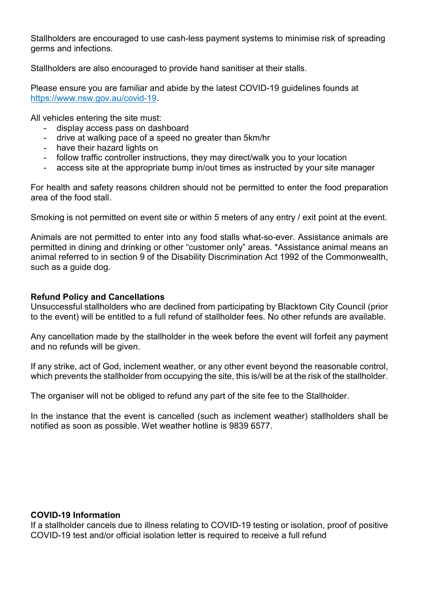Stallholders are encouraged to use cash-less payment systems to minimise risk of spreading germs and infections.

Stallholders are also encouraged to provide hand sanitiser at their stalls.

Please ensure you are familiar and abide by the latest COVID-19 guidelines founds at [https://www.nsw.gov.au/covid-19.](https://www.nsw.gov.au/covid-19)

All vehicles entering the site must:

- display access pass on dashboard
- drive at walking pace of a speed no greater than 5km/hr
- have their hazard lights on
- follow traffic controller instructions, they may direct/walk you to your location
- access site at the appropriate bump in/out times as instructed by your site manager

For health and safety reasons children should not be permitted to enter the food preparation area of the food stall.

Smoking is not permitted on event site or within 5 meters of any entry / exit point at the event.

Animals are not permitted to enter into any food stalls what-so-ever. Assistance animals are permitted in dining and drinking or other "customer only" areas. \*Assistance animal means an animal referred to in section 9 of the Disability Discrimination Act 1992 of the Commonwealth, such as a quide dog.

#### **Refund Policy and Cancellations**

Unsuccessful stallholders who are declined from participating by Blacktown City Council (prior to the event) will be entitled to a full refund of stallholder fees. No other refunds are available.

Any cancellation made by the stallholder in the week before the event will forfeit any payment and no refunds will be given.

If any strike, act of God, inclement weather, or any other event beyond the reasonable control, which prevents the stallholder from occupying the site, this is/will be at the risk of the stallholder.

The organiser will not be obliged to refund any part of the site fee to the Stallholder.

In the instance that the event is cancelled (such as inclement weather) stallholders shall be notified as soon as possible. Wet weather hotline is 9839 6577.

# **COVID-19 Information**

If a stallholder cancels due to illness relating to COVID-19 testing or isolation, proof of positive COVID-19 test and/or official isolation letter is required to receive a full refund